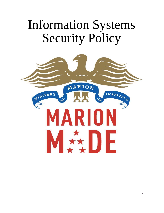# Information Systems Security Policy

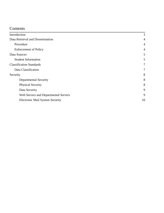# Contents

| Introduction                           | 3              |
|----------------------------------------|----------------|
| Data Retrieval and Dissemination       | $\overline{4}$ |
| Procedure                              | $\overline{4}$ |
| <b>Enforcement of Policy</b>           | $\overline{4}$ |
| Data Sources                           | 5              |
| <b>Student Information</b>             | 5              |
| <b>Classification Standards</b>        | 7              |
| Data Classification                    | 7              |
| Security                               | 8              |
| <b>Departmental Security</b>           | 8              |
| <b>Physical Security</b>               | 8              |
| Data Security                          | 9              |
| Web Servers and Departmental Servers   | 9              |
| <b>Electronic Mail System Security</b> | 10             |
|                                        |                |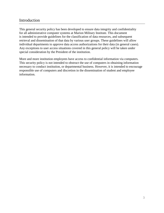# <span id="page-2-0"></span>Introduction

This general security policy has been developed to ensure data integrity and confidentiality for all administrative computer systems at Marion Military Institute. This document is intended to provide guidelines for the classification of data resources, and subsequent retrieval and dissemination of that data by various user groups. These guidelines will allow individual departments to approve data access authorizations for their data (in general cases). Any exceptions to user access situations covered in this general policy will be taken under special consideration by the President of the institution.

More and more institution employees have access to confidential information via computers. This security policy is not intended to obstruct the use of computers in obtaining information necessary to conduct institution, or departmental business. However, it is intended to encourage responsible use of computers and discretion in the dissemination of student and employee information.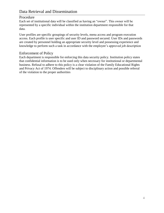# <span id="page-3-1"></span><span id="page-3-0"></span>Procedure

Each set of institutional data will be classified as having an "owner". This owner will be represented by a specific individual within the institution department responsible for that data.

User profiles are specific groupings of security levels, menu access and program execution access. Each profile is user specific and user ID and password secured. User IDs and passwords are created by personnel holding an appropriate security level and possessing experience and knowledge to perform such a task in accordance with the employee's approved job description

## <span id="page-3-2"></span>Enforcement of Policy

Each department is responsible for enforcing this data security policy. Institution policy states that confidential information is to be used only when necessary for institutional or departmental business. Refusal to adhere to this policy is a clear violation of the Family Educational Rights and Privacy Act of 1974. Offenders will be subject to disciplinary action and possible referral of the violation to the proper authorities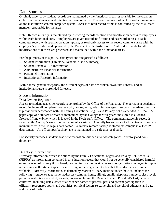# <span id="page-4-0"></span>Data Sources

Original, paper copy student records are maintained by the functional areas responsible for the creation, collection, maintenance, and retention of those records. Electronic versions of each record are maintained on the institution's central computer system. Access to both record forms is controlled by the MMI staff member responsible for the area.

Note: Record integrity is maintained by restricting records creation and modification access to employees within each functional area. Employees are given user identification and password access to each computer record with specific creation, update, or read-only access to the record commensurate with the employee's job duties and approved by the President of the Institution. Control documents for all modifications to records are processed and maintained within the functional areas.

For the purposes of this policy, data types are categorized as follows:

- Student Information (Directory, Academic, and Summary)
- Student Financial Aid Information
- Administrative Financial Information
- Personnel Information
- Institutional Research Information

Within these general categories, the different types of data are broken down into subsets, and an institutional source is provided for each.

## <span id="page-4-1"></span>Student Information

#### Data Owner: Registrar

Access to student academic records is controlled by the Office of the Registrar. The permanent academic record includes all completed coursework, grades, and grade point averages. Access to academic records is provided in accordance with the Family Educational Rights and Privacy Act as amended in 1974. A paper copy of a student's record is maintained by the College for five years and stored in a locked, fireproof filing cabinet which is located in the Registrar's Office. The permanent academic record is stored in the College's student record computer system. A nightly backup tape of all electronic records is maintained with the College's data center. A weekly remote backup is stored off-campus in a Tier IV data canter. An off-campus backup tape is maintained in a safe at a local bank.

For security purposes, student academic records are divided into two categories: directory and nondirectory.

#### Directory Information:

Directory Information, which is defined by the Family Educational Rights and Privacy Act, Sec.99.3 (FERPA) as information contained in an education record that would not be generally considered harmful or an invasion of privacy if disclosed, can be disclosed to outside persons, organizations, or agencies upon request unless the student specifies in writing to the Registrar's Office that this information is to be withheld. Directory information, as defined by Marion Military Institute under the Act, includes the following: student/cadet name; addresses (campus, home, ailing); email; telephone numbers; class level; previous institutions attended; awards; honors including the Dean's List and President's List; degrees conferred, including dates; dates of attendance names of parents; past and present participation in officially-recognized sports and activities; physical factors (e.g., height and weight of athletes); and date and place of birth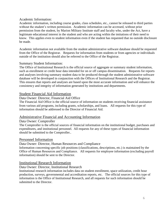#### Academic Information:

Academic information, including course grades, class schedules, etc., cannot be released to third parties without the student's written permission. Academic information can be accessed, without prior permission from the student, by Marion Military Institute staff and faculty who, under the Act, have a legitimate educational interest in the student and who are acting within the imitations of their need to know. This applies even to student information even if the student has requested that no outside disclosure be made.

Academic information not available from the student administrative software database should be requested from the Office of the Registrar. Requests for information from students or from agencies or individuals outside of the institution should also be referred to the Office of the Registrar.

#### Summary Student Information:

The Office of Institutional Research is the official source of aggregate or summary student information, such as enrollment or credit hour data intended for on or off campus dissemination. Requests for reports and analyses involving summary student data to be produced through the student administrative software database will be developed in conjunction with the Offices of Institutional Research and the Registrar. This ensures that reports and analyses are based upon the most accurate information and will enhance the consistency and integrity of information generated by institutions and departments.

## Student Financial Aid Information

#### Data Owner: Director, Financial Aid Office

The Financial Aid Office is the official source of information on students receiving financial assistance from various aid programs, including grants, scholarships, and loans. All requests for this type of information should be addressed to the Director of Financial Aid.

## Administrative Financial and Accounting Information

#### Data Owner: Comptroller

The Comptroller is the official sources of financial information on the institutional budget, purchases and expenditures, and institutional personnel. All requests for any of these types of financial information should be submitted to the Comptroller..

#### Personnel Information

#### Data Owner: Director, Human Resources and Compliance

Information concerning specific job positions (classifications, descriptions, etc.) is maintained by the Office of Human Resources and Compliance. All requests for employee information (excluding payroll information) should be sent to the Director.

## Institutional Research Information

#### Data Owner: Director, Institutional Research

Institutional research information includes data on student enrollment, space utilization, credit hour production, surveys, governmental and accreditation reports, etc. The official sources for this type of information is the Office of Institutional Research, and all requests for such information should be submitted to the Director.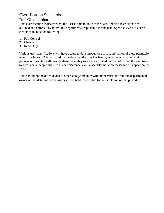# <span id="page-6-1"></span><span id="page-6-0"></span>Classification Standards

# Data Classification

Data classification indicates what the user is able to do with the data. Specific restrictions are outlined and enforced by individual departments responsible for the data. Specific levels of access clearance include the following:

- 1. Full Control
- 2. Change
- 3. Read Only

Various user classifications will have access to data through one or a combination of these permission levels. Each user ID is restricted by the data that the user has been granted to access, i.e., their permissions granted will provide them the ability to access a limited number of forms. If a user tries to access data inappropriate to his/her clearance level, a security violation message will appear on the screen.

Data should not be downloaded to other storage medium without permission from the departmental owner of that data. Individual users will be held responsible for any violation of this procedure.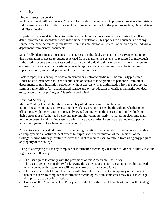# <span id="page-7-0"></span>Security

## <span id="page-7-1"></span>Departmental Security

Each department will designate an "owner" for the data it maintains. Appropriate procedure for retrieval and dissemination of institution data will be followed as outlined in the previous section, Data Retrieval and Dissemination.

Departments storing data subject to institution regulations are responsible for ensuring that all such data is protected in accordance with institutional regulations. This applies to all such data from any source, whether electronically transferred from the administrative systems, or entered by the individual department from printed documents.

Specifically, departments must ensure that access to individual workstations or servers containing this information or access to output generated from departmental systems, is restricted to individuals authorized to access the data. Password security on individual stations or servers is not sufficient to ensure compliance; any such systems on which regulated data is stored must also be in secure, supervised areas, such as departmental or individual offices.

Backup tapes, disks or copies of data on printed or electronic media must be similarly protected. Under no circumstances shall confidential data or access to it be granted to personnel from other departments or non-institution personnel without express written authorization from the appropriate administrative office. Any unauthorized storage and/or reproduction of confidential institution data (e.g., grades, transcript files, etc.) is strictly prohibited.

## <span id="page-7-2"></span>Physical Security

Marion Military Institute has the responsibility of administering, protecting, and monitoring all computers, software, and networks owned or licensed by the college whether on or off campus, with the exception of privately owned computers in the possession of individuals for their personal use. Authorized personnel may monitor computer activity, including electronic mail, for the purpose of maintaining system performance and security. Users are expected to cooperate with investigations of violation of college policy.

Access to academic and administrative computing facilities is not available to anyone who is neither an employee nor an active student except by express written permission of the President of the College. Marion Military Institute reserves the right to require users to refrain from using any program or property of the college.

Using or attempting to use any computer or information technology resource of Marion Military Institute signifies the following:

- The user agrees to comply with the provisions of this Acceptable Use Policy.
- The user accepts responsibility for knowing the contents of this policy statement. Failure to read or acknowledge this statement will not be an excuse for noncompliance.
- The user accepts that failure to comply with this policy may result in temporary or permanent denial of access to computer or information technologies, or in some cases may result in college disciplinary action or legal action.
- Copies of the Acceptable Use Policy are available in the Cadet Handbook and on the College website.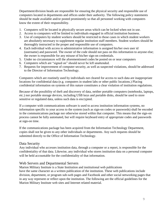<span id="page-8-1"></span>Department/division heads are responsible for ensuring the physical security and responsible use of computers located in departments and offices under their authority. The following policy statements should be made available and/or posted prominently so that all personnel working with computers know the extent of their responsibility.

- 1. Computers will be located in physically secure areas which can be locked when not in use.
- 2. Access to computers will be limited to individuals engaged in official institution business.
- 3. Use of computers by student workers should be restricted to those cases in which student workers are absolutely necessary to supplement regular institution staff members. Student workers should be thoroughly instructed in the proper and responsible use of computers.
- 4. Each individual with access to administrative information is assigned his/her own user id (username) and password. The owner of the code should not pass on this information to anyone else; the owner is responsible for any misuse of his/her sign-on credentials.
- 5. Under no circumstances will the aforementioned codes be posted on or near computers
- 6. Computers which are "signed on" should never be left unattended.
- 7. Requests for improvement of computer security, as well as suspected violations, should be addressed to the Director of Information Technology.

Computers which are routinely used by individuals not cleared for access to such data are inappropriate locations for confidential data (e.g. computers in student labs or other public locations.) Placing confidential information on systems of this nature constitutes a clear violation of institution regulations.

Because of the possibility of theft and discovery of data, neither portable computers (notebooks, laptops, etc.) nor portable storage devices, including USB keys and portable disks, should be used to store sensitive or regulated data, unless such data is encrypted.

If a computer with communications software is used to access institution information systems, no information specific to your access to the system (such as sign-on codes or passwords) shall be encoded in the communications package nor otherwise stored within that computer. This means that the sign-on process cannot be fully automated, but will require keyboard entry of appropriate codes and passwords at sign-on time.

If the communications package has been acquired from the Information Technology Department, copies shall not be given to any other individuals or departments. Any such requests should be submitted directly to the Office of Information Technology.

# <span id="page-8-0"></span>Data Security

Any individual who accesses institution data, through a computer or a report, is responsible for the confidentiality of that data. Likewise, any individual who stores institution data on a personal computer will be held accountable for the confidentiality of that information.

# <span id="page-8-2"></span>Web Servers and Departmental Servers

Marion Military Institute is a State Institution and institutional web publications have the same character as a written publication of the institution. These web publications include division, department, or program sub-web pages and Facebook and other social networking pages that in any way represent or reflect upon the institution. The following are the official guidelines for the Marion Military Institute web sites and Internet related material.